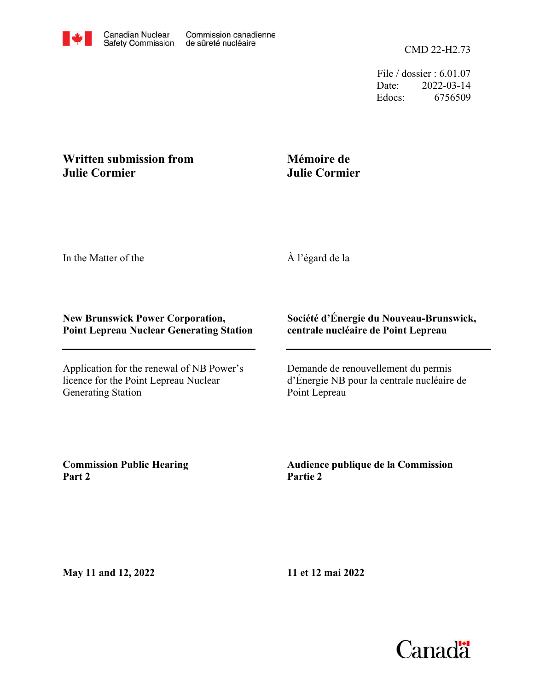File / dossier : 6.01.07 Date: 2022-03-14 Edocs: 6756509

## **Written submission from Julie Cormier**

## **Mémoire de Julie Cormier**

In the Matter of the

À l'égard de la

## **New Brunswick Power Corporation, Point Lepreau Nuclear Generating Station**

Application for the renewal of NB Power's licence for the Point Lepreau Nuclear Generating Station

## **Société d'Énergie du Nouveau-Brunswick, centrale nucléaire de Point Lepreau**

Demande de renouvellement du permis d'Énergie NB pour la centrale nucléaire de Point Lepreau

**Commission Public Hearing Part 2**

**Audience publique de la Commission Partie 2**

**May 11 and 12, 2022**

**11 et 12 mai 2022**